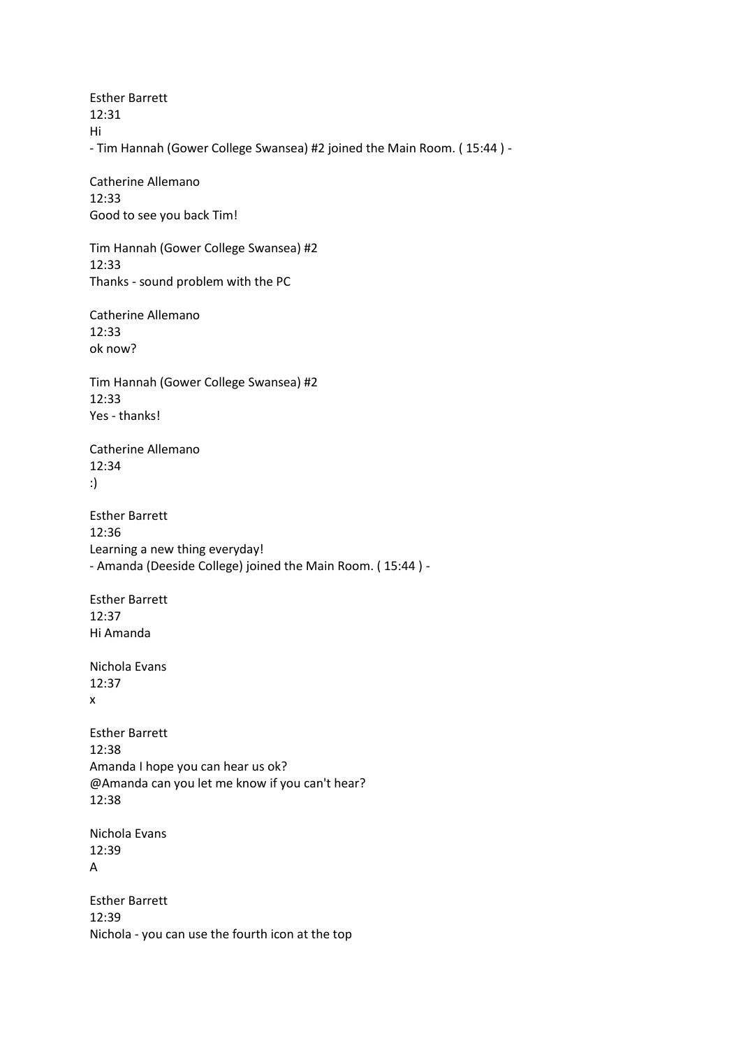Esther Barrett 12:31 Hi - Tim Hannah (Gower College Swansea) #2 joined the Main Room. ( 15:44 ) - Catherine Allemano

12:33 Good to see you back Tim!

Tim Hannah (Gower College Swansea) #2 12:33 Thanks - sound problem with the PC

Catherine Allemano 12:33 ok now?

Tim Hannah (Gower College Swansea) #2 12:33 Yes - thanks!

Catherine Allemano 12:34 :)

Esther Barrett 12:36 Learning a new thing everyday! - Amanda (Deeside College) joined the Main Room. ( 15:44 ) -

Esther Barrett 12:37 Hi Amanda

Nichola Evans 12:37 x

Esther Barrett 12:38 Amanda I hope you can hear us ok? @Amanda can you let me know if you can't hear? 12:38

Nichola Evans 12:39 A

Esther Barrett 12:39 Nichola - you can use the fourth icon at the top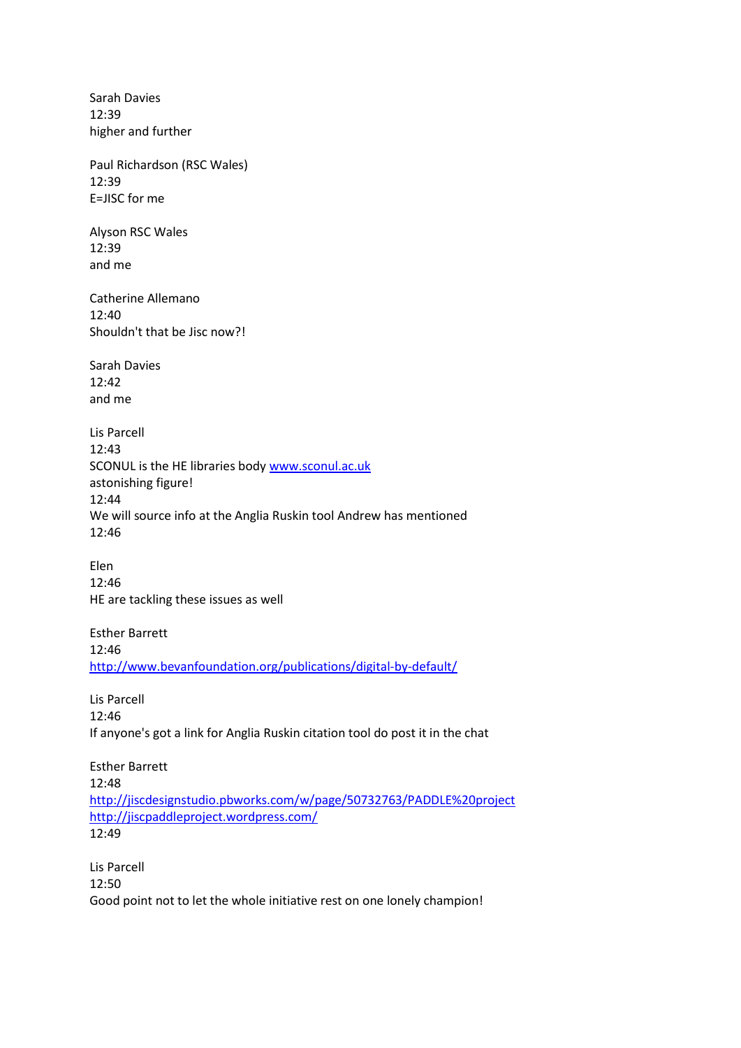Sarah Davies 12:39 higher and further Paul Richardson (RSC Wales) 12:39 E=JISC for me Alyson RSC Wales 12:39 and me Catherine Allemano 12:40 Shouldn't that be Jisc now?! Sarah Davies  $12:42$ and me Lis Parcell 12:43 SCONUL is the HE libraries body [www.sconul.ac.uk](http://www.sconul.ac.uk/) astonishing figure! 12:44 We will source info at the Anglia Ruskin tool Andrew has mentioned 12:46 Elen 12:46 HE are tackling these issues as well Esther Barrett 12:46 <http://www.bevanfoundation.org/publications/digital-by-default/> Lis Parcell 12:46 If anyone's got a link for Anglia Ruskin citation tool do post it in the chat Esther Barrett 12:48 <http://jiscdesignstudio.pbworks.com/w/page/50732763/PADDLE%20project> <http://jiscpaddleproject.wordpress.com/>

12:49

Lis Parcell 12:50 Good point not to let the whole initiative rest on one lonely champion!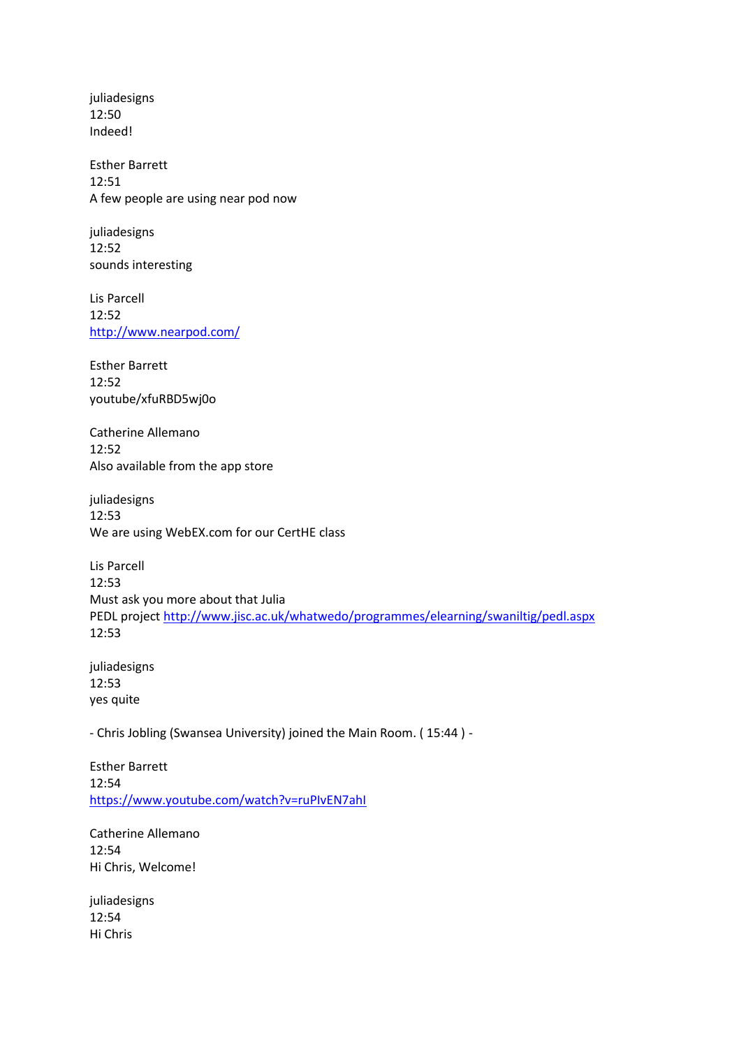juliadesigns 12:50 Indeed!

Esther Barrett 12:51 A few people are using near pod now

juliadesigns 12:52 sounds interesting

Lis Parcell 12:52 <http://www.nearpod.com/>

Esther Barrett 12:52 youtube/xfuRBD5wj0o

Catherine Allemano 12:52 Also available from the app store

juliadesigns 12:53 We are using WebEX.com for our CertHE class

Lis Parcell 12:53 Must ask you more about that Julia PEDL project<http://www.jisc.ac.uk/whatwedo/programmes/elearning/swaniltig/pedl.aspx> 12:53

juliadesigns 12:53 yes quite

- Chris Jobling (Swansea University) joined the Main Room. ( 15:44 ) -

Esther Barrett 12:54 <https://www.youtube.com/watch?v=ruPIvEN7ahI>

Catherine Allemano 12:54 Hi Chris, Welcome!

juliadesigns 12:54 Hi Chris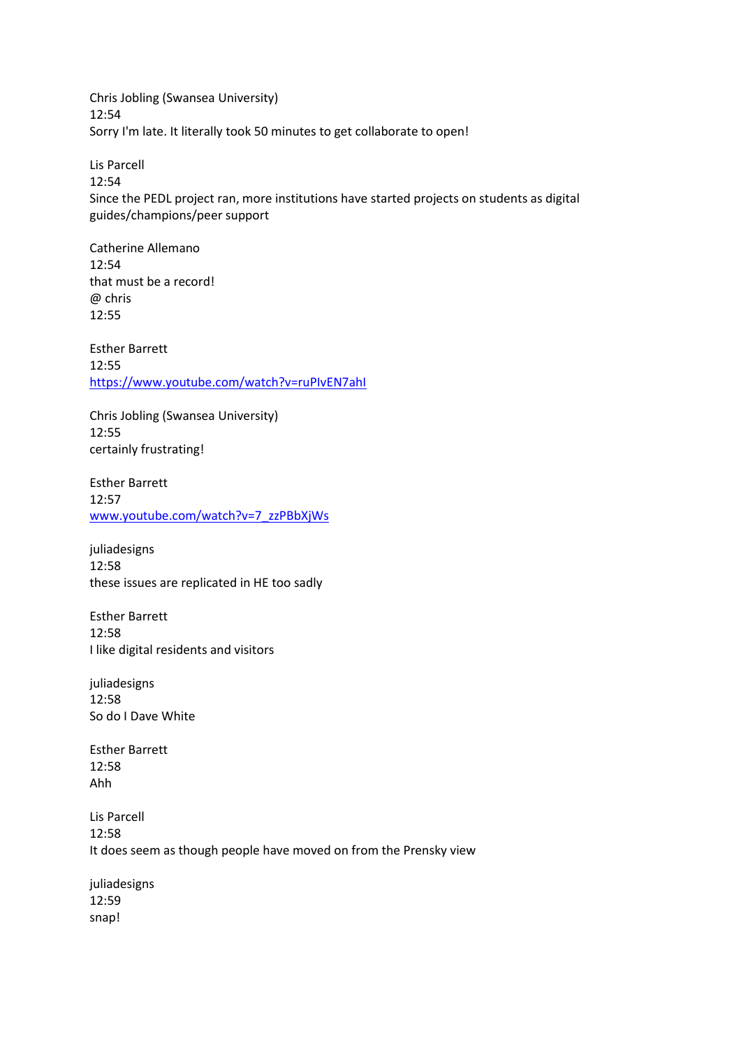Chris Jobling (Swansea University) 12:54 Sorry I'm late. It literally took 50 minutes to get collaborate to open!

Lis Parcell 12:54 Since the PEDL project ran, more institutions have started projects on students as digital guides/champions/peer support

Catherine Allemano 12:54 that must be a record! @ chris 12:55

Esther Barrett 12:55 <https://www.youtube.com/watch?v=ruPIvEN7ahI>

Chris Jobling (Swansea University) 12:55 certainly frustrating!

Esther Barrett 12:57 [www.youtube.com/watch?v=7\\_zzPBbXjWs](http://www.youtube.com/watch?v=7_zzPBbXjWs)

juliadesigns 12:58 these issues are replicated in HE too sadly

Esther Barrett 12:58 I like digital residents and visitors

juliadesigns 12:58 So do I Dave White

Esther Barrett  $12.58$ Ahh

Lis Parcell 12:58 It does seem as though people have moved on from the Prensky view

juliadesigns 12:59 snap!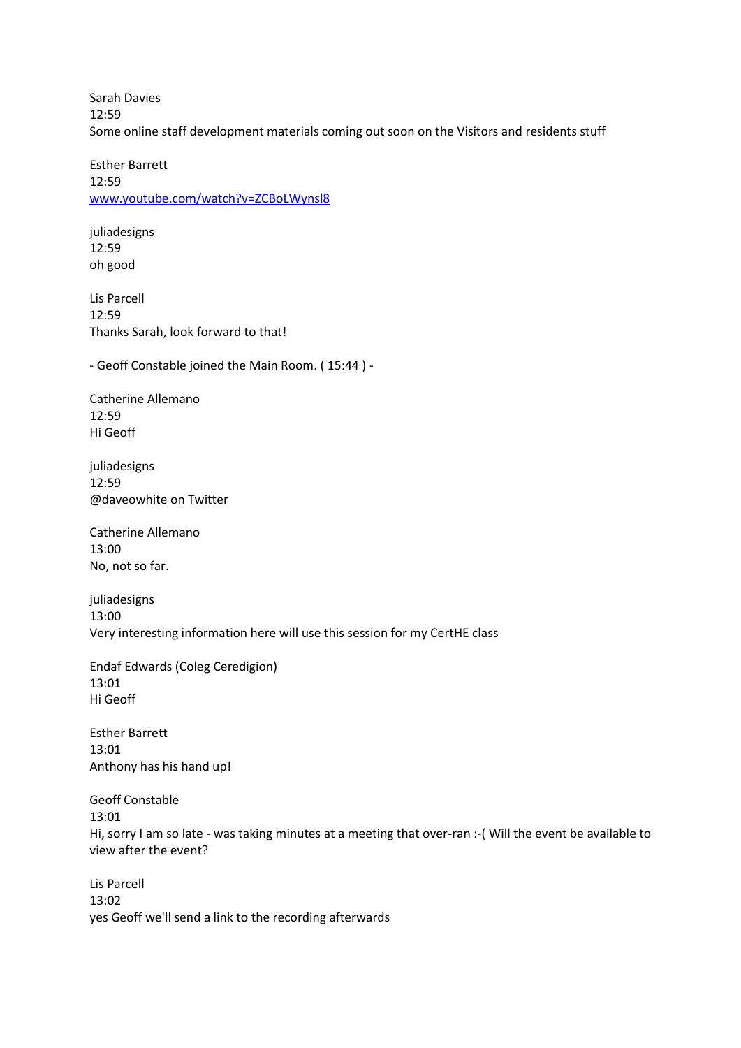Sarah Davies 12:59 Some online staff development materials coming out soon on the Visitors and residents stuff

Esther Barrett 12:59 [www.youtube.com/watch?v=ZCBoLWynsl8](http://www.youtube.com/watch?v=ZCBoLWynsl8)

juliadesigns 12:59 oh good

Lis Parcell 12:59 Thanks Sarah, look forward to that!

- Geoff Constable joined the Main Room. ( 15:44 ) -

Catherine Allemano 12:59 Hi Geoff

juliadesigns 12:59 @daveowhite on Twitter

Catherine Allemano 13:00 No, not so far.

juliadesigns 13:00 Very interesting information here will use this session for my CertHE class

Endaf Edwards (Coleg Ceredigion) 13:01 Hi Geoff

Esther Barrett 13:01 Anthony has his hand up!

Geoff Constable 13:01 Hi, sorry I am so late - was taking minutes at a meeting that over-ran :-( Will the event be available to view after the event?

Lis Parcell 13:02 yes Geoff we'll send a link to the recording afterwards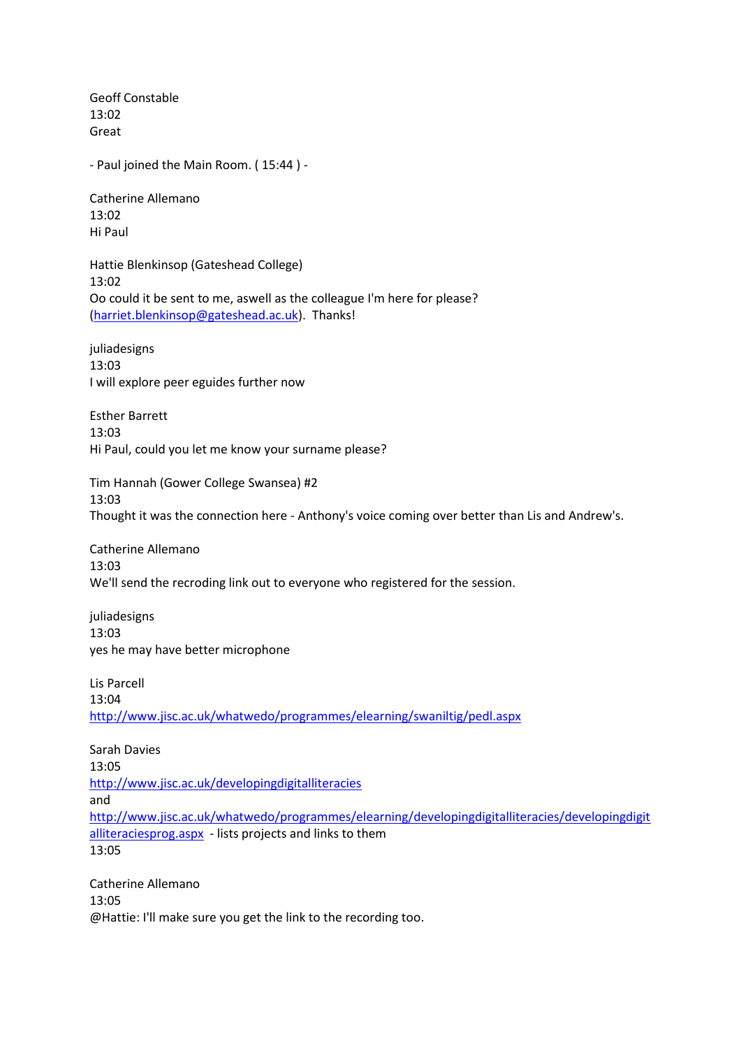Geoff Constable 13:02 Great

- Paul joined the Main Room. ( 15:44 ) -

Catherine Allemano 13:02 Hi Paul

Hattie Blenkinsop (Gateshead College) 13:02 Oo could it be sent to me, aswell as the colleague I'm here for please? [\(harriet.blenkinsop@gateshead.ac.uk\)](mailto:harriet.blenkinsop@gateshead.ac.uk). Thanks!

juliadesigns 13:03 I will explore peer eguides further now

Esther Barrett 13:03 Hi Paul, could you let me know your surname please?

Tim Hannah (Gower College Swansea) #2 13:03 Thought it was the connection here - Anthony's voice coming over better than Lis and Andrew's.

Catherine Allemano 13:03 We'll send the recroding link out to everyone who registered for the session.

juliadesigns 13:03 yes he may have better microphone

Lis Parcell 13:04 <http://www.jisc.ac.uk/whatwedo/programmes/elearning/swaniltig/pedl.aspx>

Sarah Davies 13:05 <http://www.jisc.ac.uk/developingdigitalliteracies> and [http://www.jisc.ac.uk/whatwedo/programmes/elearning/developingdigitalliteracies/developingdigit](http://www.jisc.ac.uk/whatwedo/programmes/elearning/developingdigitalliteracies/developingdigitalliteraciesprog.aspx) [alliteraciesprog.aspx](http://www.jisc.ac.uk/whatwedo/programmes/elearning/developingdigitalliteracies/developingdigitalliteraciesprog.aspx) - lists projects and links to them 13:05

Catherine Allemano 13:05 @Hattie: I'll make sure you get the link to the recording too.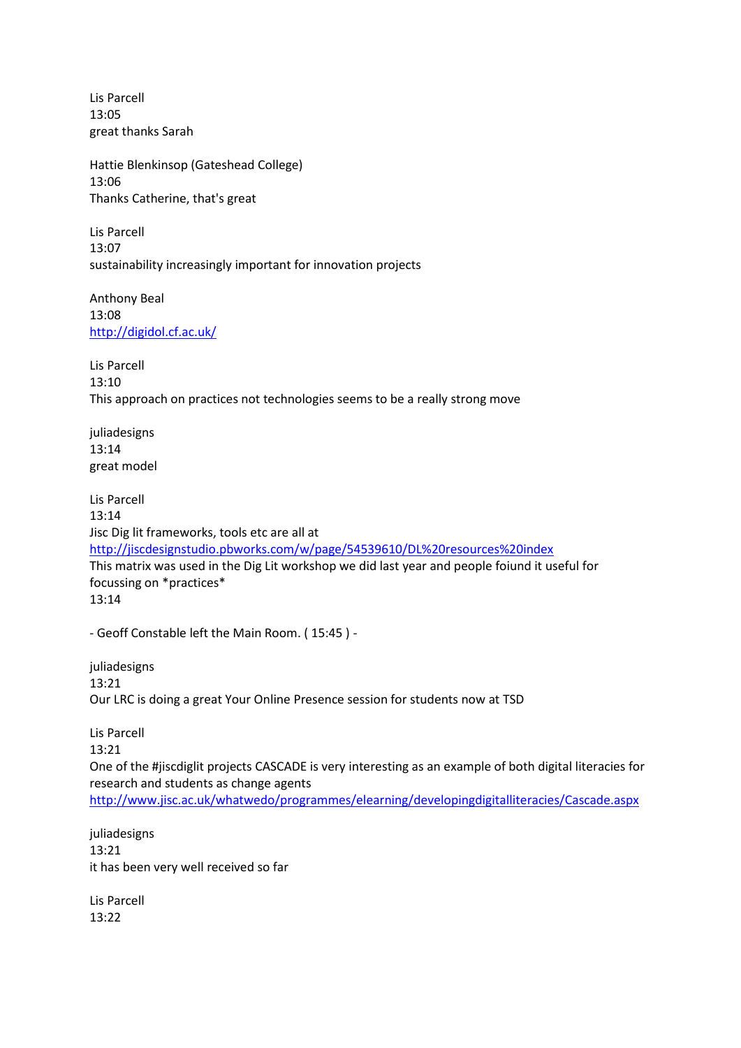Lis Parcell 13:05 great thanks Sarah

Hattie Blenkinsop (Gateshead College) 13:06 Thanks Catherine, that's great

Lis Parcell 13:07 sustainability increasingly important for innovation projects

Anthony Beal 13:08 <http://digidol.cf.ac.uk/>

Lis Parcell 13:10 This approach on practices not technologies seems to be a really strong move

juliadesigns 13:14 great model

Lis Parcell 13:14 Jisc Dig lit frameworks, tools etc are all at <http://jiscdesignstudio.pbworks.com/w/page/54539610/DL%20resources%20index> This matrix was used in the Dig Lit workshop we did last year and people foiund it useful for focussing on \*practices\* 13:14

- Geoff Constable left the Main Room. ( 15:45 ) -

juliadesigns 13:21 Our LRC is doing a great Your Online Presence session for students now at TSD

Lis Parcell 13:21 One of the #jiscdiglit projects CASCADE is very interesting as an example of both digital literacies for research and students as change agents <http://www.jisc.ac.uk/whatwedo/programmes/elearning/developingdigitalliteracies/Cascade.aspx>

juliadesigns 13:21 it has been very well received so far

Lis Parcell 13:22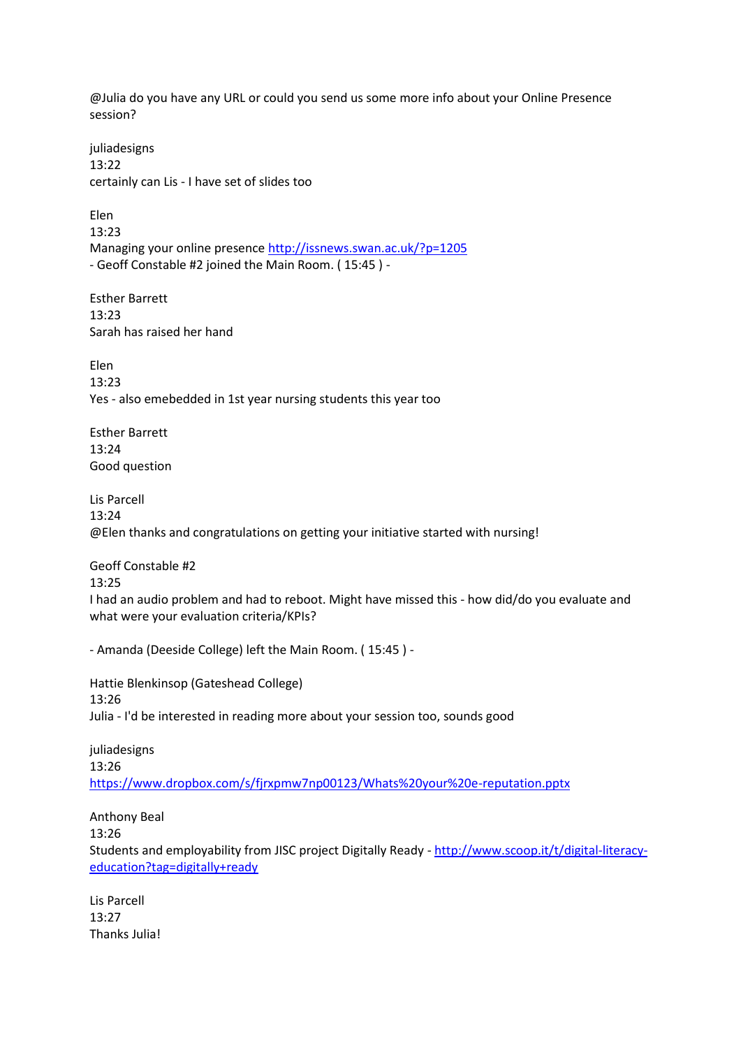@Julia do you have any URL or could you send us some more info about your Online Presence session?

juliadesigns 13:22 certainly can Lis - I have set of slides too

Elen 13:23 Managing your online presence<http://issnews.swan.ac.uk/?p=1205> - Geoff Constable #2 joined the Main Room. ( 15:45 ) -

Esther Barrett 13:23 Sarah has raised her hand

Elen 13:23 Yes - also emebedded in 1st year nursing students this year too

Esther Barrett 13:24 Good question

Lis Parcell 13:24 @Elen thanks and congratulations on getting your initiative started with nursing!

Geoff Constable #2

13:25

I had an audio problem and had to reboot. Might have missed this - how did/do you evaluate and what were your evaluation criteria/KPIs?

- Amanda (Deeside College) left the Main Room. ( 15:45 ) -

Hattie Blenkinsop (Gateshead College) 13:26 Julia - I'd be interested in reading more about your session too, sounds good

juliadesigns 13:26 <https://www.dropbox.com/s/fjrxpmw7np00123/Whats%20your%20e-reputation.pptx>

Anthony Beal 13:26 Students and employability from JISC project Digitally Ready - [http://www.scoop.it/t/digital-literacy](http://www.scoop.it/t/digital-literacy-education?tag=digitally+ready)[education?tag=digitally+ready](http://www.scoop.it/t/digital-literacy-education?tag=digitally+ready)

Lis Parcell 13:27 Thanks Julia!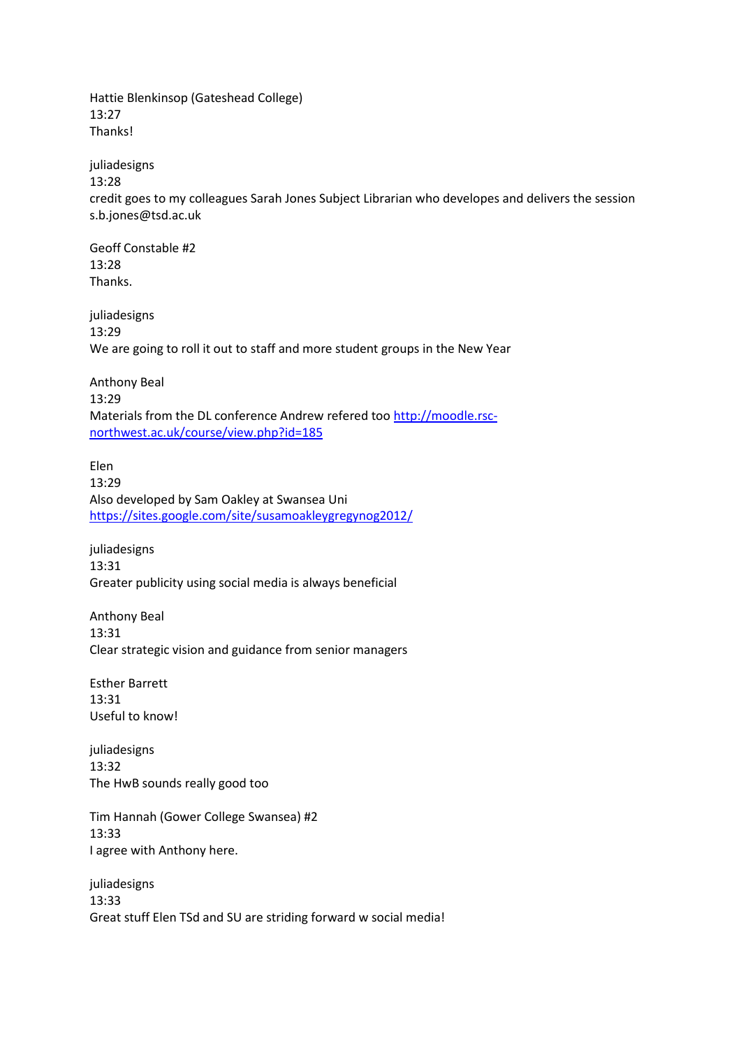Hattie Blenkinsop (Gateshead College) 13:27 Thanks!

juliadesigns 13:28

credit goes to my colleagues Sarah Jones Subject Librarian who developes and delivers the session s.b.jones@tsd.ac.uk

Geoff Constable #2 13:28 Thanks.

juliadesigns 13:29 We are going to roll it out to staff and more student groups in the New Year

Anthony Beal 13:29 Materials from the DL conference Andrew refered too [http://moodle.rsc](http://moodle.rsc-northwest.ac.uk/course/view.php?id=185)[northwest.ac.uk/course/view.php?id=185](http://moodle.rsc-northwest.ac.uk/course/view.php?id=185)

Elen 13:29 Also developed by Sam Oakley at Swansea Uni <https://sites.google.com/site/susamoakleygregynog2012/>

juliadesigns 13:31 Greater publicity using social media is always beneficial

Anthony Beal 13:31 Clear strategic vision and guidance from senior managers

Esther Barrett 13:31 Useful to know!

juliadesigns 13:32 The HwB sounds really good too

Tim Hannah (Gower College Swansea) #2 13:33 I agree with Anthony here.

juliadesigns 13:33 Great stuff Elen TSd and SU are striding forward w social media!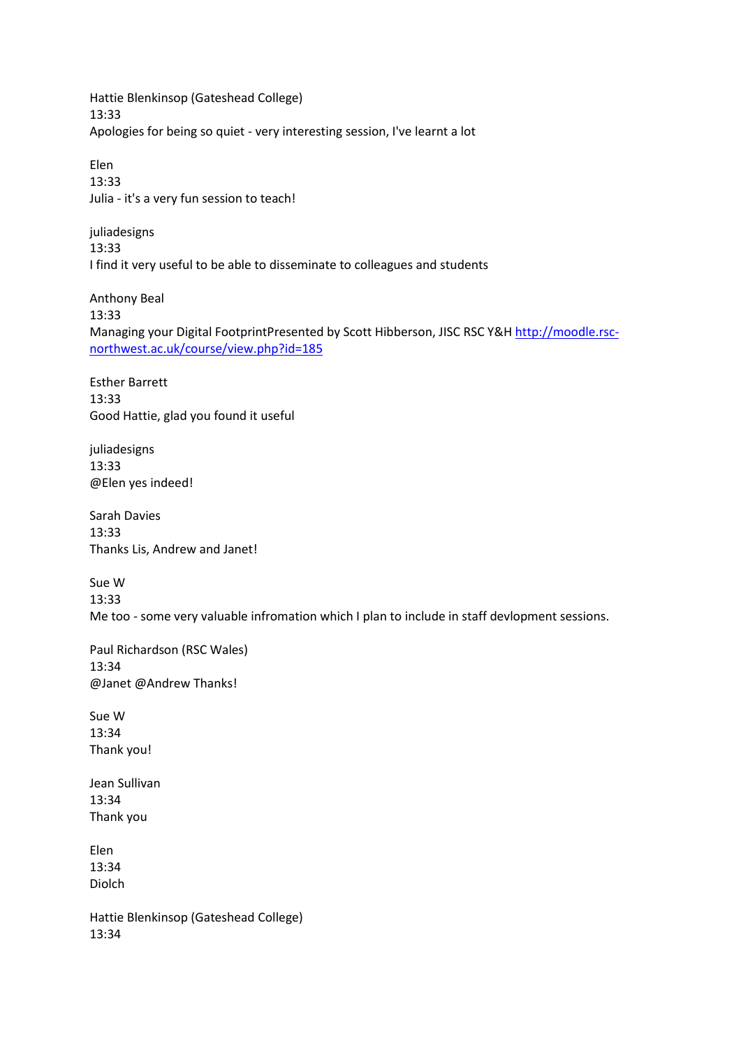Hattie Blenkinsop (Gateshead College) 13:33 Apologies for being so quiet - very interesting session, I've learnt a lot

Elen 13:33 Julia - it's a very fun session to teach!

juliadesigns 13:33 I find it very useful to be able to disseminate to colleagues and students

Anthony Beal 13:33 Managing your Digital FootprintPresented by Scott Hibberson, JISC RSC Y&H [http://moodle.rsc](http://moodle.rsc-northwest.ac.uk/course/view.php?id=185)[northwest.ac.uk/course/view.php?id=185](http://moodle.rsc-northwest.ac.uk/course/view.php?id=185)

Esther Barrett 13:33 Good Hattie, glad you found it useful

juliadesigns 13:33 @Elen yes indeed!

Sarah Davies 13:33 Thanks Lis, Andrew and Janet!

Sue W 13:33 Me too - some very valuable infromation which I plan to include in staff devlopment sessions.

Paul Richardson (RSC Wales) 13:34 @Janet @Andrew Thanks!

Sue W 13:34 Thank you!

Jean Sullivan 13:34 Thank you

Elen 13:34 Diolch

Hattie Blenkinsop (Gateshead College) 13:34